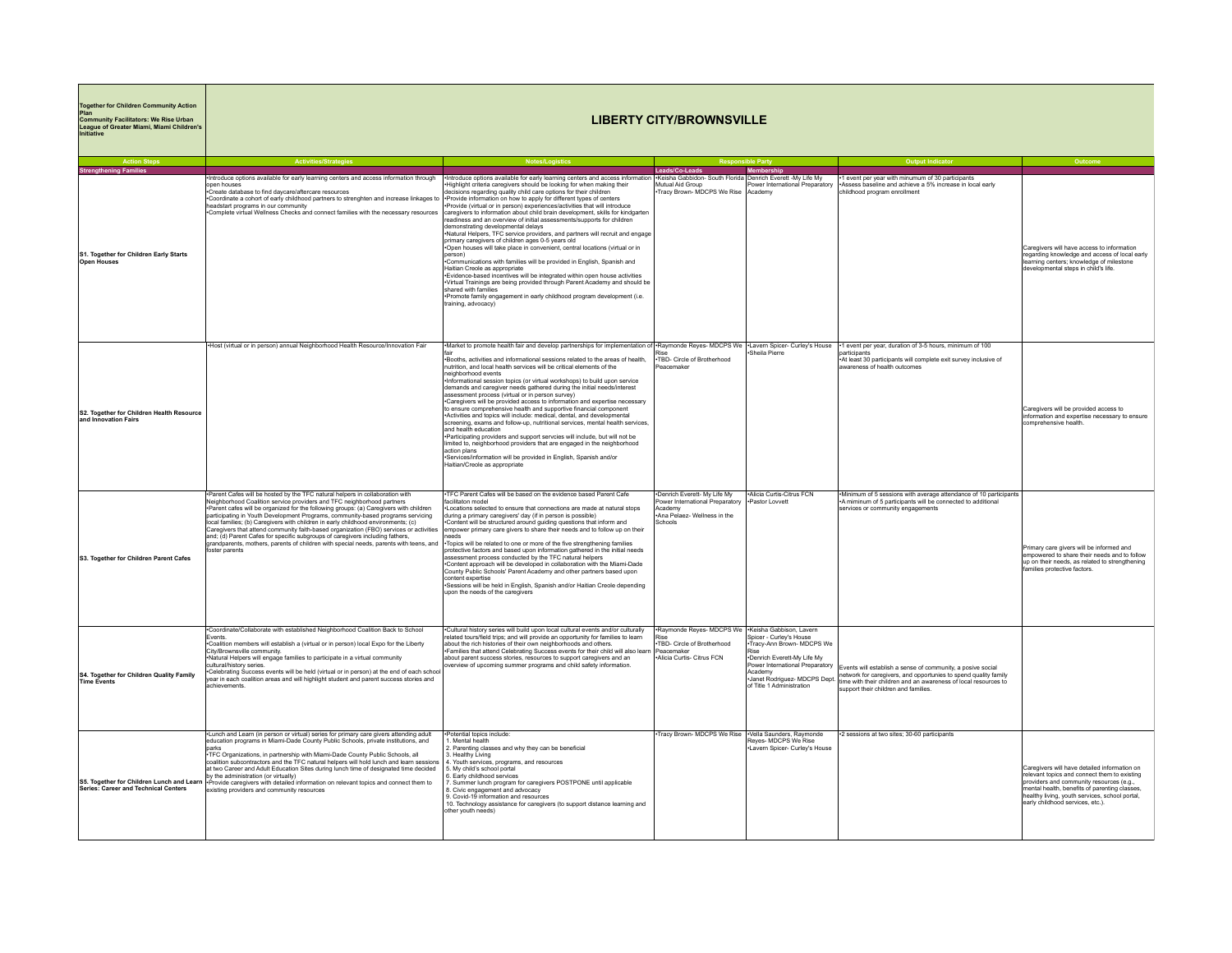| <b>Together for Children Community Action</b><br>Community Facilitators: We Rise Urban<br>League of Greater Miami, Miami Children's<br>Initiative | <b>LIBERTY CITY/BROWNSVILLE</b>                                                                                                                                                                                                                                                                                                                                                                                                                                                                                                                                                                                                                                                                               |                                                                                                                                                                                                                                                                                                                                                                                                                                                                                                                                                                                                                                                                                                                                                                                                                                                                                                                                                                                                                                                                                                                                                                                                              |                                                                                                                       |                                                                                                                                                                                                    |                                                                                                                                                                                                                                                                     |                                                                                                                                                                                                                                                                                |  |
|---------------------------------------------------------------------------------------------------------------------------------------------------|---------------------------------------------------------------------------------------------------------------------------------------------------------------------------------------------------------------------------------------------------------------------------------------------------------------------------------------------------------------------------------------------------------------------------------------------------------------------------------------------------------------------------------------------------------------------------------------------------------------------------------------------------------------------------------------------------------------|--------------------------------------------------------------------------------------------------------------------------------------------------------------------------------------------------------------------------------------------------------------------------------------------------------------------------------------------------------------------------------------------------------------------------------------------------------------------------------------------------------------------------------------------------------------------------------------------------------------------------------------------------------------------------------------------------------------------------------------------------------------------------------------------------------------------------------------------------------------------------------------------------------------------------------------------------------------------------------------------------------------------------------------------------------------------------------------------------------------------------------------------------------------------------------------------------------------|-----------------------------------------------------------------------------------------------------------------------|----------------------------------------------------------------------------------------------------------------------------------------------------------------------------------------------------|---------------------------------------------------------------------------------------------------------------------------------------------------------------------------------------------------------------------------------------------------------------------|--------------------------------------------------------------------------------------------------------------------------------------------------------------------------------------------------------------------------------------------------------------------------------|--|
|                                                                                                                                                   |                                                                                                                                                                                                                                                                                                                                                                                                                                                                                                                                                                                                                                                                                                               |                                                                                                                                                                                                                                                                                                                                                                                                                                                                                                                                                                                                                                                                                                                                                                                                                                                                                                                                                                                                                                                                                                                                                                                                              |                                                                                                                       |                                                                                                                                                                                                    |                                                                                                                                                                                                                                                                     |                                                                                                                                                                                                                                                                                |  |
| thening Families                                                                                                                                  |                                                                                                                                                                                                                                                                                                                                                                                                                                                                                                                                                                                                                                                                                                               |                                                                                                                                                                                                                                                                                                                                                                                                                                                                                                                                                                                                                                                                                                                                                                                                                                                                                                                                                                                                                                                                                                                                                                                                              | Leads/Co-Leads                                                                                                        | Momhorchin                                                                                                                                                                                         |                                                                                                                                                                                                                                                                     |                                                                                                                                                                                                                                                                                |  |
| S1. Together for Children Early Starts<br><b>Open Houses</b>                                                                                      | Introduce options available for early learning centers and access information through<br>open houses<br>Create database to find davcare/aftercare resources<br>Coordinate a cohort of early childhood partners to strenghten and increase linkages to<br>eadstart programs in our community<br>Complete virtual Wellness Checks and connect families with the necessary resources                                                                                                                                                                                                                                                                                                                             | Introduce options available for early learning centers and access information<br>Highlight criteria caregivers should be looking for when making their<br>ecisions regarding quality child care options for their children<br>Provide information on how to apply for different types of centers<br>-Provide (virtual or in person) experiences/activities that will introduce<br>caregivers to information about child brain development, skills for kindgarten<br>readiness and an overview of initial assessments/supports for children<br>demonstrating developmental delays<br>Natural Helpers, TFC service providers, and partners will recruit and engage<br>orimary caregivers of children ages 0-5 years old<br>Open houses will take place in convenient, central locations (virtual or in<br>nerson)<br>Communications with families will be provided in English, Spanish and<br>laitian Creole as appropriate<br>Evidence-based incentives will be integrated within open house activities<br>Virtual Trainings are being provided through Parent Academy and should be<br>shared with families<br>Promote family engagement in early childhood program development (i.e.<br>training, advocacy) | . Keisha Gabbidon- South Florida Denrich Everett -My Life My<br>Mutual Aid Group<br>Tracy Brown-MDCPS We Rise Academy | Power International Prenaraton                                                                                                                                                                     | 1 event per year with minumum of 30 participants<br>Assess baseline and achieve a 5% increase in local early<br>childhood program enrollment                                                                                                                        | Caregivers will have access to information<br>regarding knowledge and access of local early<br>learning centers; knowledge of milestone<br>velopmental steps in child's life.                                                                                                  |  |
| S2. Together for Children Health Resource<br>and Innovation Fairs                                                                                 | .Host (virtual or in person) annual Neighborhood Health Resource/Innovation Fair                                                                                                                                                                                                                                                                                                                                                                                                                                                                                                                                                                                                                              | Market to promote health fair and develop partnerships for implementation of -Raymonde Reyes- MDCPS We -Lavern Spicer- Curley's House<br>.Booths, activities and informational sessions related to the areas of health.<br>nutrition, and local health services will be critical elements of the<br>neighborhood events<br>Informational session topics (or virtual workshops) to build upon service<br>demands and caregiver needs gathered during the initial needs/interest<br>assessment process (virtual or in person survey)<br>Caregivers will be provided access to information and expertise necessary<br>to ensure comprehensive health and supportive financial component<br>Activities and topics will include: medical, dental, and developmental<br>screening, exams and follow-up, nutritional services, mental health services,<br>and health education<br>·Participating providers and support servcies will include, but will not be<br>imited to, neighborhood providers that are engaged in the neighborhood<br>action plans<br>Services/information will be provided in English, Spanish and/or<br>Haitian/Creole as appropriate                                                        | TBD- Circle of Brotherhood<br>Peacemaker                                                                              | Sheila Pierre                                                                                                                                                                                      | +1 event per year, duration of 3-5 hours, minimum of 100<br>articipants<br>-At least 30 participants will complete exit survey inclusive of<br>awareness of health outcomes                                                                                         | Caregivers will be provided access to<br>information and expertise necessary to ensure<br>comprehensive health                                                                                                                                                                 |  |
| S3. Together for Children Parent Cafes                                                                                                            | Parent Cafes will be hosted by the TFC natural helpers in collaboration with<br>Neighborhood Coalition service providers and TFC neighborhood partners<br>Parent cafes will be organized for the following groups: (a) Caregivers with children<br>participating in Youth Development Programs, community-based programs servicing<br>local families; (b) Caregivers with children in early childhood environments; (c)<br>Caregivers that attend community faith-based organization (FBO) services or activities<br>and: (d) Parent Cafes for specific subgroups of caregivers including fathers.<br>grandparents, mothers, parents of children with special needs, parents with teens, and<br>oster parents | TFC Parent Cafes will be based on the evidence based Parent Cafe<br>acilitaton model<br>*Locations selected to ensure that connections are made at natural stops<br>during a primary caregivers' day (if in person is possible)<br>Content will be structured around guiding questions that inform and<br>mpower primary care givers to share their needs and to follow up on their<br>aben<br>Topics will be related to one or more of the five strengthening families<br>protective factors and based upon information gathered in the initial needs<br>assessment process conducted by the TFC natural helpers<br>Content approach will be developed in collaboration with the Miami-Dade<br>County Public Schools' Parent Academy and other partners based upon<br>content expertise<br>Sessions will be held in English, Spanish and/or Haitian Creole depending<br>upon the needs of the caregivers                                                                                                                                                                                                                                                                                                    | Denrich Everett- My Life My<br>Power International Prenaratory<br>Academy<br>Ana Pelaez- Wellness in the<br>Schools   | . Alicia Curtis-Citrus FCN<br>·Pastor Lovvett                                                                                                                                                      | .Minimum of 5 sessions with average attendance of 10 participants<br>.A miminum of 5 participants will be connected to additional<br>services or community engagements                                                                                              | Primary care givers will be informed and<br>empowered to share their needs and to follow<br>up on their needs, as related to strengthening<br>amilies protective factors.                                                                                                      |  |
| S4. Together for Children Quality Family<br>Time Events                                                                                           | Coordinate/Collaborate with established Neighborhood Coalition Back to School<br>Events.<br>Coalition members will establish a (virtual or in person) local Expo for the Liberty<br>City/Brownsville community.<br>Natural Helpers will engage families to participate in a virtual community<br>cultural/history series.<br>Celebrating Success events will be held (virtual or in person) at the end of each school<br>ear in each coalition areas and will highlight student and parent success stories and<br>achievements                                                                                                                                                                                | Cultural history series will build upon local cultural events and/or culturally<br>elated tours/field trips; and will provide an opportunity for families to learn<br>about the rich histories of their own neighborhoods and others.<br>Families that attend Celebrating Success events for their child will also learn<br>about parent success stories, resources to support caregivers and an<br>erview of upcoming summer programs and child safety information                                                                                                                                                                                                                                                                                                                                                                                                                                                                                                                                                                                                                                                                                                                                          | -Raymonde Reyes- MDCPS We<br>TBD- Circle of Brotherhood<br>Peacemaker<br>Alicia Curtis- Citrus FCN                    | ·Keisha Gabbison, Lavern<br>Spicer - Curley's House<br>Tracy-Ann Brown- MDCPS We<br>Rice<br>-Denrich Everett-My Life My<br>Power International Preparatory<br>Academy<br>of Title 1 Administration | Events will establish a sense of community, a posive social<br>network for caregivers, and opportunies to spend quality family<br>Janet Rodriguez-MDCPS Dept. the with their children and an awareness of local resources to<br>support their children and families |                                                                                                                                                                                                                                                                                |  |
| Series: Career and Technical Centers                                                                                                              | Lunch and Learn (in person or virtual) series for primary care givers attending adult<br>education programs in Miami-Dade County Public Schools, private institutions, and<br>narks<br>TFC Organizations, in partnership with Miami-Dade County Public Schools, all<br>coalition subcontractors and the TFC natural helpers will hold lunch and learn sessions<br>at two Career and Adult Education Sites during lunch time of designated time decided<br>by the administration (or virtually)<br>S5. Together for Children Lunch and Learn Frovide caregivers with detailed information on relevant topics and connect them to<br>existing providers and community resources                                 | Potential topics include:<br>. Mental health<br>2. Parenting classes and why they can be beneficial<br>. Healthy Living<br>1. Youth services, programs, and resources<br>My child's school portal<br>. Early childhood services<br>. Summer lunch program for caregivers POSTPONE until applicable<br>Civic engagement and advocacy<br>9. Covid-19 information and resources<br>10. Technology assistance for caregivers (to support distance learning and<br>other youth needs)                                                                                                                                                                                                                                                                                                                                                                                                                                                                                                                                                                                                                                                                                                                             | Tracy Brown- MDCPS We Rise                                                                                            | ·Vella Saunders, Raymonde<br>Reyes- MDCPS We Rise<br>-Lavern Spicer- Curley's House                                                                                                                | -2 sessions at two sites; 30-60 participants                                                                                                                                                                                                                        | Caregivers will have detailed information on<br>relevant topics and connect them to existing<br>providers and community resources (e.g.,<br>mental health, benefits of parenting classes<br>healthy living, youth services, school portal,<br>early childhood services, etc.). |  |

**The State** 

<u> 1989 - Johann Stein, marwolaethau a bh</u>

a di B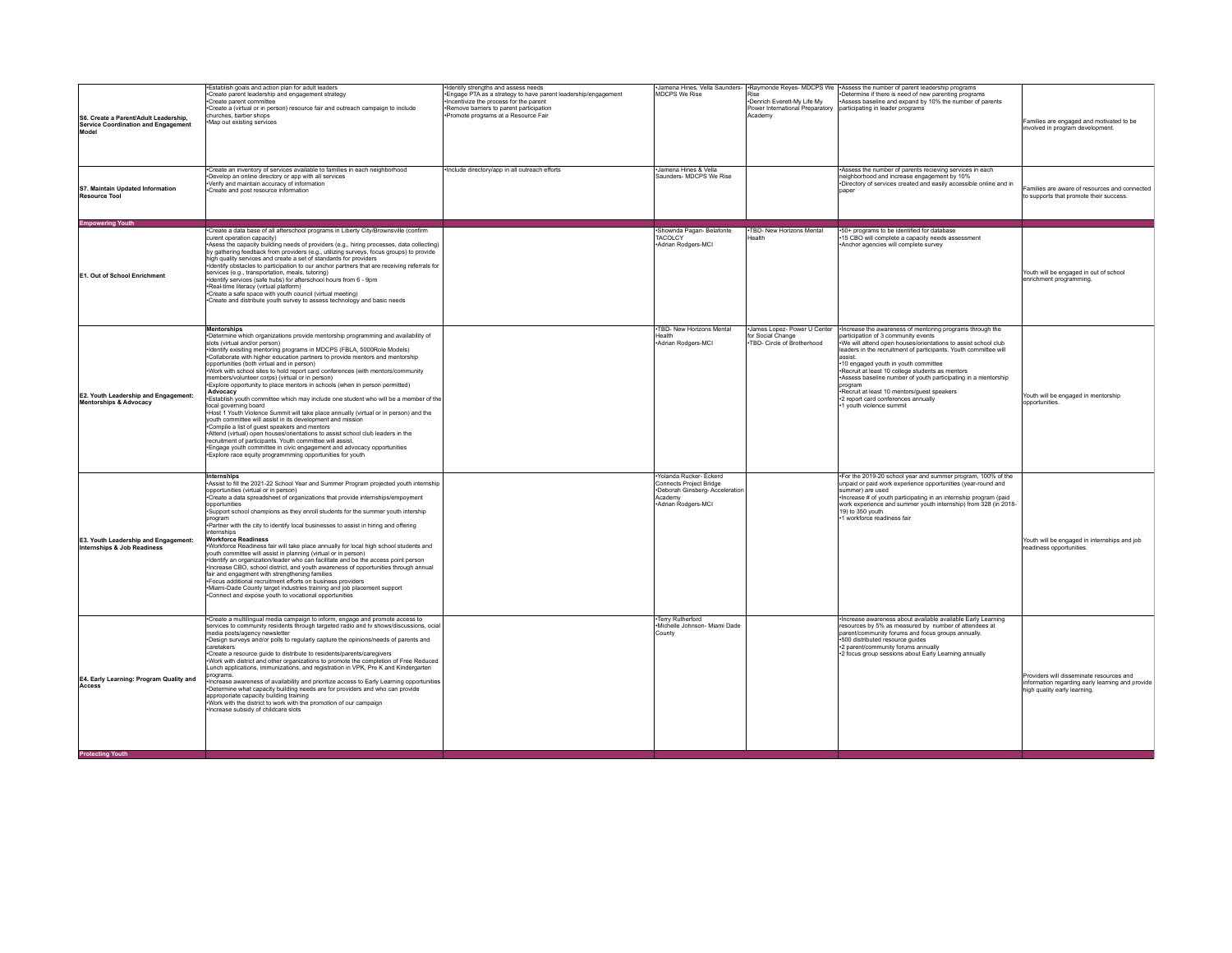| S6. Create a Parent/Adult Leadership,<br><b>Service Coordination and Engagement</b><br>Model | Establish goals and action plan for adult leaders<br>Create parent leadership and engagement strategy<br>Create parent committee<br>*Create a (virtual or in person) resource fair and outreach campaign to include<br>churches, barber shops<br>Map out existing services                                                                                                                                                                                                                                                                                                                                                                                                                                                                                                                                                                                                                                                                                                                                                                                                                                                                                                                 | Identify strengths and assess needs<br>*Engage PTA as a strategy to have parent leadership/engagement<br>Incentivize the process for the parent<br>*Remove barriers to parent participation<br>Promote programs at a Resource Fair | MDCPS We Rise                                                                                                          | Rise<br>-Denrich Everett-My Life My<br>Power International Preparatory<br>Academy | -Jamena Hines, Vella Saunders-  -Raymonde Reyes- MDCPS We  -Assess the number of parent leadership programs<br>-Determine if there is need of new parenting programs<br>Assess baseline and expand by 10% the number of parents<br>participating in leader programs                                                                                                                                                                                                                                                                     | Families are engaged and motivated to be<br>involved in program development.                                                 |
|----------------------------------------------------------------------------------------------|--------------------------------------------------------------------------------------------------------------------------------------------------------------------------------------------------------------------------------------------------------------------------------------------------------------------------------------------------------------------------------------------------------------------------------------------------------------------------------------------------------------------------------------------------------------------------------------------------------------------------------------------------------------------------------------------------------------------------------------------------------------------------------------------------------------------------------------------------------------------------------------------------------------------------------------------------------------------------------------------------------------------------------------------------------------------------------------------------------------------------------------------------------------------------------------------|------------------------------------------------------------------------------------------------------------------------------------------------------------------------------------------------------------------------------------|------------------------------------------------------------------------------------------------------------------------|-----------------------------------------------------------------------------------|-----------------------------------------------------------------------------------------------------------------------------------------------------------------------------------------------------------------------------------------------------------------------------------------------------------------------------------------------------------------------------------------------------------------------------------------------------------------------------------------------------------------------------------------|------------------------------------------------------------------------------------------------------------------------------|
| S7. Maintain Undated Information<br>Resource Tool                                            | Create an inventory of services available to families in each neighborhood<br>Develop an online directory or app with all services<br>Verify and maintain accuracy of information<br>Create and post resource information                                                                                                                                                                                                                                                                                                                                                                                                                                                                                                                                                                                                                                                                                                                                                                                                                                                                                                                                                                  | Include directory/app in all outreach efforts                                                                                                                                                                                      | ·Jamena Hines & Vella<br>Saunders- MDCPS We Rise                                                                       |                                                                                   | Assess the number of parents recieving services in each<br>neighborhood and increase engagement by 10%<br>Directory of services created and easily accessible online and in<br>paper                                                                                                                                                                                                                                                                                                                                                    | amilies are aware of resources and connected<br>to supports that promote their success.                                      |
| Empowering Youth                                                                             |                                                                                                                                                                                                                                                                                                                                                                                                                                                                                                                                                                                                                                                                                                                                                                                                                                                                                                                                                                                                                                                                                                                                                                                            |                                                                                                                                                                                                                                    |                                                                                                                        |                                                                                   |                                                                                                                                                                                                                                                                                                                                                                                                                                                                                                                                         |                                                                                                                              |
| E1. Out of School Enrichment                                                                 | Create a data base of all afterschool programs in Liberty City/Brownsville (confirm<br>curent operation capacity)<br>Asess the capacity building needs of providers (e.g., hiring processes, data collecting)<br>by gathering feedback from providers (e.g., utilizing surveys, focus groups) to provide<br>high quality services and create a set of standards for providers<br>Identify obstacles to participation to our anchor partners that are receiving referrals for<br>services (e.g., transportation, meals, tutoring)<br>Identify services (safe hubs) for afterschool hours from 6 - 9pm<br>-Real-time literacy (virtual platform)<br>Create a safe space with youth council (virtual meeting)<br>Create and distribute youth survey to assess technology and basic needs                                                                                                                                                                                                                                                                                                                                                                                                      |                                                                                                                                                                                                                                    | Shownda Pagan- Belafonte<br>TACOLCY<br>Adrian Rodgers-MCI                                                              | .TBD- New Horizons Mental<br>Health                                               | *50+ programs to be identified for database<br>•15 CBO will complete a capacity needs assessment<br>Anchor agencies will complete survey                                                                                                                                                                                                                                                                                                                                                                                                | Youth will be engaged in out of school<br>enrichment programming.                                                            |
| E2. Youth Leadership and Engagement:<br><b>Mentorships &amp; Advocacy</b>                    | <b>Mentorships</b><br>-Determine which organizations provide mentorship programming and availability of<br>slots (virtual and/or person)<br>Identify exisiting mentoring programs in MDCPS (FBLA, 5000Role Models)<br>.Collaborate with higher education partners to provide mentors and mentorship<br>opportunities (both virtual and in person)<br>Work with school sites to hold report card conferences (with mentors/community<br>nembers/volunteer corps) (virtual or in person)<br>Explore opportunity to place mentors in schools (when in person permitted)<br>Advocacv<br>Establish youth committee which may include one student who will be a member of the<br>local governing board<br>Host 1 Youth Violence Summit will take place annually (virtual or in person) and the<br>vouth committee will assist in its development and mission<br>Compile a list of guest speakers and mentors<br>Attend (virtual) open houses/orientations to assist school club leaders in the<br>recruitment of participants. Youth committee will assist.<br>Engage youth committee in civic engagement and advocacy opportunities<br>Explore race equity programmming opportunities for youth |                                                                                                                                                                                                                                    | -TBD- New Horizons Mental<br>Health<br>*Adrian Rodgers-MCI                                                             | James Lopez- Power U Center<br>for Social Change<br>TBD- Circle of Brotherhood    | •Increase the awareness of mentoring programs through the<br>participation of 3 community events<br>We will attend open houses/orientations to assist school club<br>leaders in the recruitment of participants. Youth committee will<br>assist<br>•10 engaged youth in youth committee<br>Recruit at least 10 college students as mentors<br>Assess baseline number of youth participating in a mentorship<br>program<br>-Recruit at least 10 mentors/guest speakers<br>-2 report card conferences annually<br>1 youth violence summit | Youth will be engaged in mentorship<br>opportunities                                                                         |
| E3. Youth Leadership and Engagement:<br>Internships & Job Readiness                          | <b>Internships</b><br>Assist to fill the 2021-22 School Year and Summer Program projected youth internship<br>opportunities (virtual or in person)<br>Create a data spreadsheet of organizations that provide internships/empoyment<br>opportunities<br>Support school champions as they enroll students for the summer youth intership<br>program<br>•Partner with the city to identify local businesses to assist in hiring and offering<br>ternships<br><b>Workforce Readiness</b><br>Workforce Readiness fair will take place annually for local high school students and<br>youth committee will assist in planning (virtual or in person)<br>Identify an organization/leader who can facilitate and be the access point person<br>Increase CBO, school district, and youth awareness of opportunities through annual<br>fair and engagment with strengthening families<br>Focus additional recruitment efforts on business providers<br>Miami-Dade County target industries training and job placement support<br>Connect and expose youth to vocational opportunities                                                                                                               |                                                                                                                                                                                                                                    | ·Yolanda Rucker- Eckerd<br>Connects Project Bridge<br>·Deborah Ginsberg- Acceleration<br>Academy<br>Adrian Rodgers-MCI |                                                                                   | *For the 2019-20 school year and summer program, 100% of the<br>unpaid or paid work experience opportunities (year-round and<br>summer) are used<br>-Increase # of youth participating in an internship program (paid<br>work experience and summer youth internship) from 328 (in 2018-<br>19) to 350 youth<br>-1 workforce readiness fair                                                                                                                                                                                             | Youth will be engaged in internships and job<br>readiness opportunities.                                                     |
| E4. Early Learning: Program Quality and<br>Access                                            | *Create a multilingual media campaign to inform, engage and promote access to<br>services to community residents through targeted radio and tv shows/discussions, ocial<br>media posts/agency newsletter<br>Design surveys and/or polls to regularly capture the opinions/needs of parents and<br>caretakers<br>Create a resource guide to distribute to residents/parents/caregivers<br>Work with district and other organizations to promote the completion of Free Reduced<br>unch applications, immunizations, and registration in VPK, Pre K and Kindergarten<br>rograms.<br>Increase awareness of availability and prioritize access to Early Learning opportunities<br>Determine what capacity building needs are for providers and who can provide<br>approporiate capacity building training<br>Work with the district to work with the promotion of our campaign<br>Increase subsidy of childcare slots                                                                                                                                                                                                                                                                          |                                                                                                                                                                                                                                    | ·Terry Rutherford<br>·Michelle Johnson- Miami Dade<br>County                                                           |                                                                                   | ·Increase awareness about available available Early Learning<br>resources by 5% as measured by number of attendees at<br>parent/community forums and focus groups annually.<br>+500 distributed resource guides<br>*2 parent/community forums annually<br>2 focus group sessions about Early Learning annually                                                                                                                                                                                                                          | Providers will disseminate resources and<br>information regarding early learning and provide<br>high quality early learning. |
| <b>Protecting Youth</b>                                                                      |                                                                                                                                                                                                                                                                                                                                                                                                                                                                                                                                                                                                                                                                                                                                                                                                                                                                                                                                                                                                                                                                                                                                                                                            |                                                                                                                                                                                                                                    |                                                                                                                        |                                                                                   |                                                                                                                                                                                                                                                                                                                                                                                                                                                                                                                                         |                                                                                                                              |